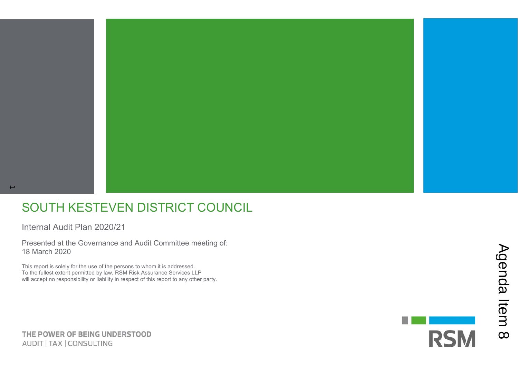### SOUTH KESTEVEN DISTRICT COUNCIL

Internal Audit Plan 2020/21

Presented at the Governance and Audit Committee meeting of: 18 March 2020

This report is solely for the use of the persons to whom it is addressed. To the fullest extent permitted by law, RSM Risk Assurance Services LLP will accept no responsibility or liability in respect of this report to any other party.

THE POWER OF BEING UNDERSTOOD AUDIT | TAX | CONSULTING

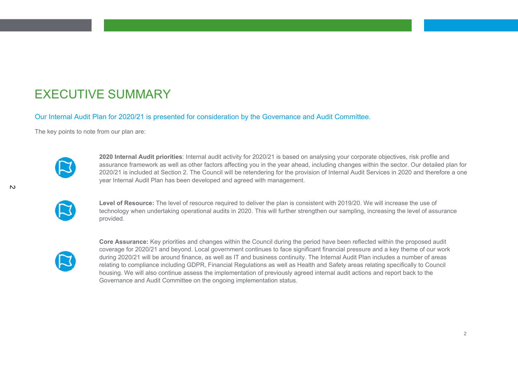### EXECUTIVE SUMMARY

Our Internal Audit Plan for 2020/21 is presented for consideration by the Governance and Audit Committee.

The key points to note from our plan are:



**2020 Internal Audit priorities**: Internal audit activity for 2020/21 is based on analysing your corporate objectives, risk profile and assurance framework as well as other factors affecting you in the year ahead, including changes within the sector. Our detailed plan for 2020/21 is included at Section 2. The Council will be retendering for the provision of Internal Audit Services in 2020 and therefore a one year Internal Audit Plan has been developed and agreed with management.

| × |
|---|

**Level of Resource:** The level of resource required to deliver the plan is consistent with 2019/20. We will increase the use of technology when undertaking operational audits in 2020. This will further strengthen our sampling, increasing the level of assurance provided.



**Core Assurance:** Key priorities and changes within the Council during the period have been reflected within the proposed audit coverage for 2020/21 and beyond. Local government continues to face significant financial pressure and a key theme of our work during 2020/21 will be around finance, as well as IT and business continuity. The Internal Audit Plan includes a number of areas relating to compliance including GDPR, Financial Regulations as well as Health and Safety areas relating specifically to Council housing. We will also continue assess the implementation of previously agreed internal audit actions and report back to the Governance and Audit Committee on the ongoing implementation status.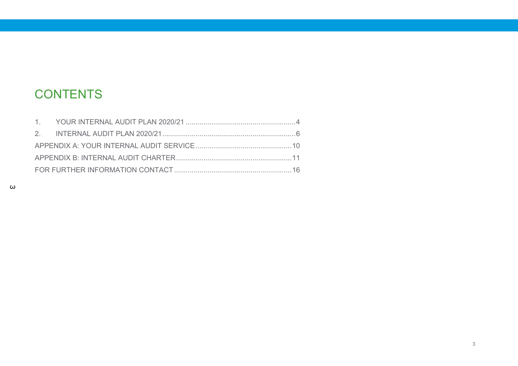### CONTENTS

 $\omega$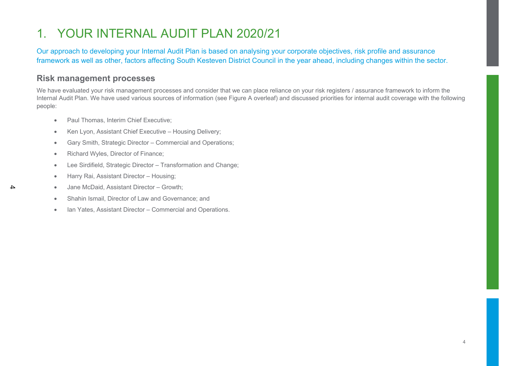## 1. YOUR INTERNAL AUDIT PLAN 2020/21

Our approach to developing your Internal Audit Plan is based on analysing your corporate objectives, risk profile and assurance framework as well as other, factors affecting South Kesteven District Council in the year ahead, including changes within the sector.

#### **Risk management processes**

We have evaluated your risk management processes and consider that we can place reliance on your risk registers / assurance framework to inform the Internal Audit Plan. We have used various sources of information (see Figure A overleaf) and discussed priorities for internal audit coverage with the following people:

- Paul Thomas, Interim Chief Executive:
- Ken Lyon, Assistant Chief Executive Housing Delivery;
- Gary Smith, Strategic Director Commercial and Operations;
- Richard Wyles, Director of Finance;

4

- Lee Sirdifield, Strategic Director Transformation and Change;
- Harry Rai, Assistant Director Housing;
- Jane McDaid, Assistant Director Growth;
- Shahin Ismail, Director of Law and Governance; and
- Ian Yates, Assistant Director Commercial and Operations.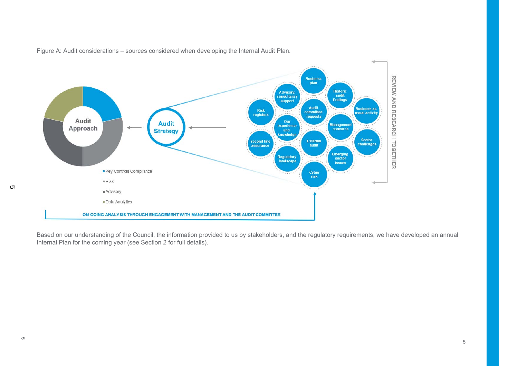

Figure A: Audit considerations – sources considered when developing the Internal Audit Plan.

Based on our understanding of the Council, the information provided to us by stakeholders, and the regulatory requirements, we have developed an annual Internal Plan for the coming year (see Section 2 for full details).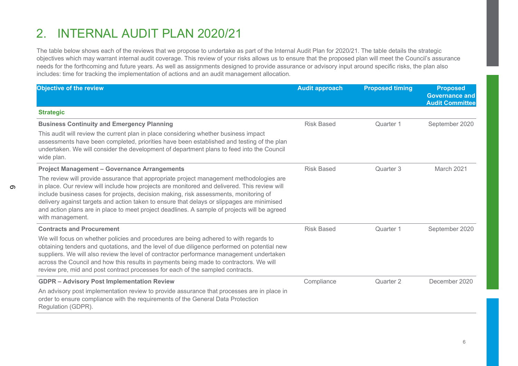## 2. INTERNAL AUDIT PLAN 2020/21

 $\sigma$ 

The table below shows each of the reviews that we propose to undertake as part of the Internal Audit Plan for 2020/21. The table details the strategic objectives which may warrant internal audit coverage. This review of your risks allows us to ensure that the proposed plan will meet the Council's assurance needs for the forthcoming and future years. As well as assignments designed to provide assurance or advisory input around specific risks, the plan also includes: time for tracking the implementation of actions and an audit management allocation.

| Objective of the review                                                                                                                                                                                                                                                                                                                                                                                                                                                                            | <b>Audit approach</b> | <b>Proposed timing</b> | <b>Proposed</b><br><b>Governance and</b><br><b>Audit Committee</b> |
|----------------------------------------------------------------------------------------------------------------------------------------------------------------------------------------------------------------------------------------------------------------------------------------------------------------------------------------------------------------------------------------------------------------------------------------------------------------------------------------------------|-----------------------|------------------------|--------------------------------------------------------------------|
| <b>Strategic</b>                                                                                                                                                                                                                                                                                                                                                                                                                                                                                   |                       |                        |                                                                    |
| <b>Business Continuity and Emergency Planning</b>                                                                                                                                                                                                                                                                                                                                                                                                                                                  | <b>Risk Based</b>     | Quarter 1              | September 2020                                                     |
| This audit will review the current plan in place considering whether business impact<br>assessments have been completed, priorities have been established and testing of the plan<br>undertaken. We will consider the development of department plans to feed into the Council<br>wide plan.                                                                                                                                                                                                       |                       |                        |                                                                    |
| <b>Project Management - Governance Arrangements</b>                                                                                                                                                                                                                                                                                                                                                                                                                                                | <b>Risk Based</b>     | Quarter 3              | March 2021                                                         |
| The review will provide assurance that appropriate project management methodologies are<br>in place. Our review will include how projects are monitored and delivered. This review will<br>include business cases for projects, decision making, risk assessments, monitoring of<br>delivery against targets and action taken to ensure that delays or slippages are minimised<br>and action plans are in place to meet project deadlines. A sample of projects will be agreed<br>with management. |                       |                        |                                                                    |
| <b>Contracts and Procurement</b>                                                                                                                                                                                                                                                                                                                                                                                                                                                                   | <b>Risk Based</b>     | Quarter 1              | September 2020                                                     |
| We will focus on whether policies and procedures are being adhered to with regards to<br>obtaining tenders and quotations, and the level of due diligence performed on potential new<br>suppliers. We will also review the level of contractor performance management undertaken<br>across the Council and how this results in payments being made to contractors. We will<br>review pre, mid and post contract processes for each of the sampled contracts.                                       |                       |                        |                                                                    |
| <b>GDPR - Advisory Post Implementation Review</b>                                                                                                                                                                                                                                                                                                                                                                                                                                                  | Compliance            | Quarter 2              | December 2020                                                      |
| An advisory post implementation review to provide assurance that processes are in place in<br>order to ensure compliance with the requirements of the General Data Protection<br>Regulation (GDPR).                                                                                                                                                                                                                                                                                                |                       |                        |                                                                    |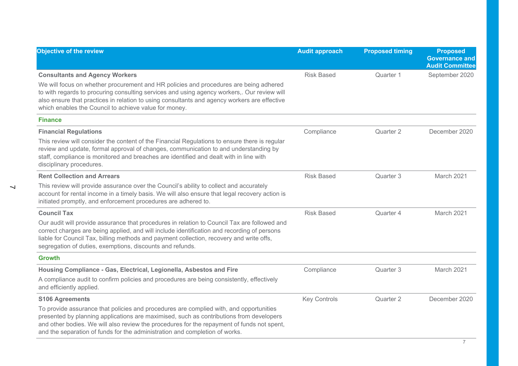| Objective of the review                                                                                                                                                                                                                                                                                                                                                                  | <b>Audit approach</b> | <b>Proposed timing</b> | <b>Proposed</b><br><b>Governance and</b><br><b>Audit Committee</b> |
|------------------------------------------------------------------------------------------------------------------------------------------------------------------------------------------------------------------------------------------------------------------------------------------------------------------------------------------------------------------------------------------|-----------------------|------------------------|--------------------------------------------------------------------|
| <b>Consultants and Agency Workers</b><br>We will focus on whether procurement and HR policies and procedures are being adhered<br>to with regards to procuring consulting services and using agency workers,. Our review will<br>also ensure that practices in relation to using consultants and agency workers are effective<br>which enables the Council to achieve value for money.   | <b>Risk Based</b>     | Quarter 1              | September 2020                                                     |
| <b>Finance</b>                                                                                                                                                                                                                                                                                                                                                                           |                       |                        |                                                                    |
| <b>Financial Regulations</b><br>This review will consider the content of the Financial Regulations to ensure there is regular<br>review and update, formal approval of changes, communication to and understanding by<br>staff, compliance is monitored and breaches are identified and dealt with in line with<br>disciplinary procedures.                                              | Compliance            | Quarter 2              | December 2020                                                      |
| <b>Rent Collection and Arrears</b><br>This review will provide assurance over the Council's ability to collect and accurately<br>account for rental income in a timely basis. We will also ensure that legal recovery action is<br>initiated promptly, and enforcement procedures are adhered to.                                                                                        | <b>Risk Based</b>     | Quarter 3              | March 2021                                                         |
| <b>Council Tax</b><br>Our audit will provide assurance that procedures in relation to Council Tax are followed and<br>correct charges are being applied, and will include identification and recording of persons<br>liable for Council Tax, billing methods and payment collection, recovery and write offs,<br>segregation of duties, exemptions, discounts and refunds.               | <b>Risk Based</b>     | Quarter 4              | March 2021                                                         |
| <b>Growth</b>                                                                                                                                                                                                                                                                                                                                                                            |                       |                        |                                                                    |
| Housing Compliance - Gas, Electrical, Legionella, Asbestos and Fire<br>A compliance audit to confirm policies and procedures are being consistently, effectively<br>and efficiently applied.                                                                                                                                                                                             | Compliance            | Quarter 3              | March 2021                                                         |
| <b>S106 Agreements</b><br>To provide assurance that policies and procedures are complied with, and opportunities<br>presented by planning applications are maximised, such as contributions from developers<br>and other bodies. We will also review the procedures for the repayment of funds not spent,<br>and the separation of funds for the administration and completion of works. | <b>Key Controls</b>   | Quarter 2              | December 2020                                                      |

 $\overline{\phantom{0}}$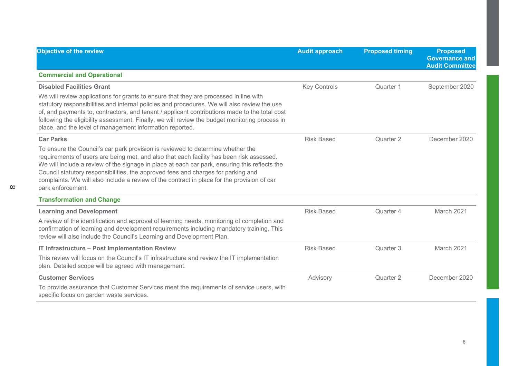| Objective of the review                                                                                                                                                                                                                                                                                                                                                                                                                                                                                   | <b>Audit approach</b> | <b>Proposed timing</b> | <b>Proposed</b><br><b>Governance and</b><br><b>Audit Committee</b> |
|-----------------------------------------------------------------------------------------------------------------------------------------------------------------------------------------------------------------------------------------------------------------------------------------------------------------------------------------------------------------------------------------------------------------------------------------------------------------------------------------------------------|-----------------------|------------------------|--------------------------------------------------------------------|
| <b>Commercial and Operational</b>                                                                                                                                                                                                                                                                                                                                                                                                                                                                         |                       |                        |                                                                    |
| <b>Disabled Facilities Grant</b><br>We will review applications for grants to ensure that they are processed in line with<br>statutory responsibilities and internal policies and procedures. We will also review the use<br>of, and payments to, contractors, and tenant / applicant contributions made to the total cost<br>following the eligibility assessment. Finally, we will review the budget monitoring process in<br>place, and the level of management information reported.                  | <b>Key Controls</b>   | Quarter 1              | September 2020                                                     |
| <b>Car Parks</b><br>To ensure the Council's car park provision is reviewed to determine whether the<br>requirements of users are being met, and also that each facility has been risk assessed.<br>We will include a review of the signage in place at each car park, ensuring this reflects the<br>Council statutory responsibilities, the approved fees and charges for parking and<br>complaints. We will also include a review of the contract in place for the provision of car<br>park enforcement. | <b>Risk Based</b>     | Quarter 2              | December 2020                                                      |
| <b>Transformation and Change</b>                                                                                                                                                                                                                                                                                                                                                                                                                                                                          |                       |                        |                                                                    |
| <b>Learning and Development</b><br>A review of the identification and approval of learning needs, monitoring of completion and<br>confirmation of learning and development requirements including mandatory training. This<br>review will also include the Council's Learning and Development Plan.                                                                                                                                                                                                       | <b>Risk Based</b>     | Quarter 4              | March 2021                                                         |
| IT Infrastructure - Post Implementation Review<br>This review will focus on the Council's IT infrastructure and review the IT implementation<br>plan. Detailed scope will be agreed with management.                                                                                                                                                                                                                                                                                                      | <b>Risk Based</b>     | Quarter 3              | March 2021                                                         |
| <b>Customer Services</b><br>To provide assurance that Customer Services meet the requirements of service users, with<br>specific focus on garden waste services.                                                                                                                                                                                                                                                                                                                                          | Advisory              | Quarter 2              | December 2020                                                      |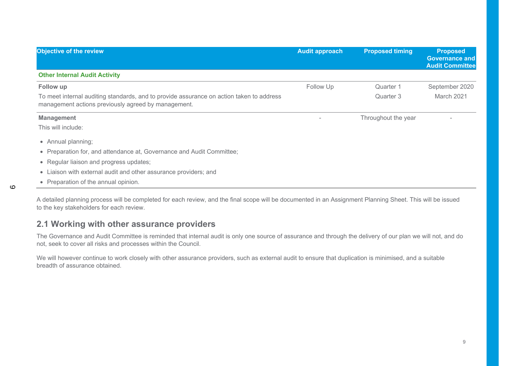| <b>Objective of the review</b>                                                                                                                  | <b>Audit approach</b> | <b>Proposed timing</b> | <b>Proposed</b><br><b>Governance and</b><br><b>Audit Committee</b> |
|-------------------------------------------------------------------------------------------------------------------------------------------------|-----------------------|------------------------|--------------------------------------------------------------------|
| <b>Other Internal Audit Activity</b>                                                                                                            |                       |                        |                                                                    |
| Follow up                                                                                                                                       | Follow Up             | Quarter 1              | September 2020                                                     |
| To meet internal auditing standards, and to provide assurance on action taken to address<br>management actions previously agreed by management. |                       | Quarter 3              | March 2021                                                         |
| <b>Management</b>                                                                                                                               |                       | Throughout the year    |                                                                    |
| This will include:                                                                                                                              |                       |                        |                                                                    |
| • Annual planning;                                                                                                                              |                       |                        |                                                                    |
| • Preparation for, and attendance at, Governance and Audit Committee;                                                                           |                       |                        |                                                                    |
| • Regular liaison and progress updates;                                                                                                         |                       |                        |                                                                    |
| • Liaison with external audit and other assurance providers; and                                                                                |                       |                        |                                                                    |
| • Preparation of the annual opinion.                                                                                                            |                       |                        |                                                                    |

A detailed planning process will be completed for each review, and the final scope will be documented in an Assignment Planning Sheet. This will be issued to the key stakeholders for each review.

#### **2.1 Working with other assurance providers**

The Governance and Audit Committee is reminded that internal audit is only one source of assurance and through the delivery of our plan we will not, and do not, seek to cover all risks and processes within the Council.

We will however continue to work closely with other assurance providers, such as external audit to ensure that duplication is minimised, and a suitable breadth of assurance obtained.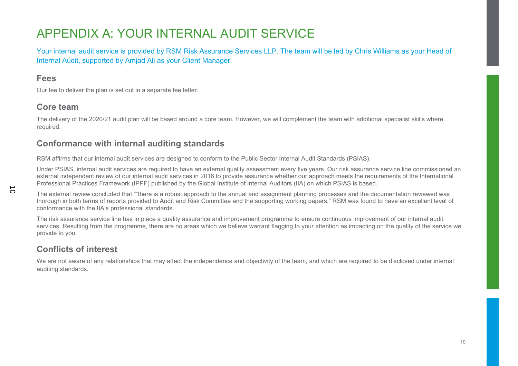# APPENDIX A: YOUR INTERNAL AUDIT SERVICE

Your internal audit service is provided by RSM Risk Assurance Services LLP. The team will be led by Chris Williams as your Head of Internal Audit, supported by Amjad Ali as your Client Manager.

#### **Fees**

Our fee to deliver the plan is set out in a separate fee letter.

#### **Core team**

The delivery of the 2020/21 audit plan will be based around a core team. However, we will complement the team with additional specialist skills where required.

#### **Conformance with internal auditing standards**

RSM affirms that our internal audit services are designed to conform to the Public Sector Internal Audit Standards (PSIAS).

Under PSIAS, internal audit services are required to have an external quality assessment every five years. Our risk assurance service line commissioned an external independent review of our internal audit services in 2016 to provide assurance whether our approach meets the requirements of the International Professional Practices Framework (IPPF) published by the Global Institute of Internal Auditors (IIA) on which PSIAS is based.

The external review concluded that ""there is a robust approach to the annual and assignment planning processes and the documentation reviewed was thorough in both terms of reports provided to Audit and Risk Committee and the supporting working papers." RSM was found to have an excellent level of conformance with the IIA's professional standards.

The risk assurance service line has in place a quality assurance and improvement programme to ensure continuous improvement of our internal audit services. Resulting from the programme, there are no areas which we believe warrant flagging to your attention as impacting on the quality of the service we provide to you.

### **Conflicts of interest**

We are not aware of any relationships that may affect the independence and objectivity of the team, and which are required to be disclosed under internal auditing standards.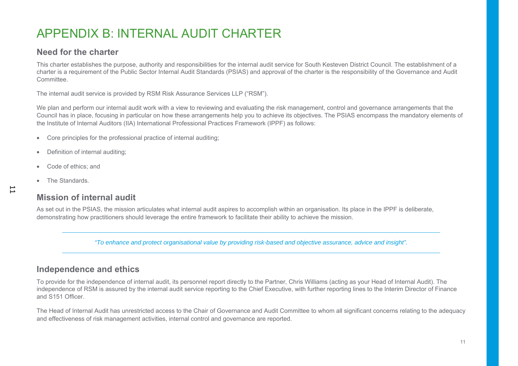# APPENDIX B: INTERNAL AUDIT CHARTER

#### **Need for the charter**

This charter establishes the purpose, authority and responsibilities for the internal audit service for South Kesteven District Council. The establishment of a charter is a requirement of the Public Sector Internal Audit Standards (PSIAS) and approval of the charter is the responsibility of the Governance and Audit **Committee** 

The internal audit service is provided by RSM Risk Assurance Services LLP ("RSM").

We plan and perform our internal audit work with a view to reviewing and evaluating the risk management, control and governance arrangements that the Council has in place, focusing in particular on how these arrangements help you to achieve its objectives. The PSIAS encompass the mandatory elements of the Institute of Internal Auditors (IIA) International Professional Practices Framework (IPPF) as follows:

- Core principles for the professional practice of internal auditing;
- Definition of internal auditing;
- Code of ethics; and
- The Standards.

#### **Mission of internal audit**

As set out in the PSIAS, the mission articulates what internal audit aspires to accomplish within an organisation. Its place in the IPPF is deliberate, demonstrating how practitioners should leverage the entire framework to facilitate their ability to achieve the mission.

*"To enhance and protect organisational value by providing risk-based and objective assurance, advice and insight".* 

#### **Independence and ethics**

To provide for the independence of internal audit, its personnel report directly to the Partner, Chris Williams (acting as your Head of Internal Audit). The independence of RSM is assured by the internal audit service reporting to the Chief Executive, with further reporting lines to the Interim Director of Finance and S151 Officer.

The Head of Internal Audit has unrestricted access to the Chair of Governance and Audit Committee to whom all significant concerns relating to the adequacy and effectiveness of risk management activities, internal control and governance are reported.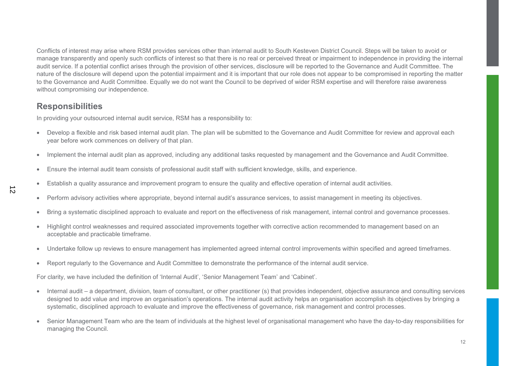Conflicts of interest may arise where RSM provides services other than internal audit to South Kesteven District Council. Steps will be taken to avoid or manage transparently and openly such conflicts of interest so that there is no real or perceived threat or impairment to independence in providing the internal audit service. If a potential conflict arises through the provision of other services, disclosure will be reported to the Governance and Audit Committee. The nature of the disclosure will depend upon the potential impairment and it is important that our role does not appear to be compromised in reporting the matter to the Governance and Audit Committee. Equally we do not want the Council to be deprived of wider RSM expertise and will therefore raise awareness without compromising our independence.

#### **Responsibilities**

In providing your outsourced internal audit service, RSM has a responsibility to:

- Develop a flexible and risk based internal audit plan. The plan will be submitted to the Governance and Audit Committee for review and approval each year before work commences on delivery of that plan.
- Implement the internal audit plan as approved, including any additional tasks requested by management and the Governance and Audit Committee.
- Ensure the internal audit team consists of professional audit staff with sufficient knowledge, skills, and experience.
- Establish a quality assurance and improvement program to ensure the quality and effective operation of internal audit activities.
- Perform advisory activities where appropriate, beyond internal audit's assurance services, to assist management in meeting its objectives.
- Bring a systematic disciplined approach to evaluate and report on the effectiveness of risk management, internal control and governance processes.
- Highlight control weaknesses and required associated improvements together with corrective action recommended to management based on an acceptable and practicable timeframe.
- Undertake follow up reviews to ensure management has implemented agreed internal control improvements within specified and agreed timeframes.
- Report regularly to the Governance and Audit Committee to demonstrate the performance of the internal audit service.

For clarity, we have included the definition of 'Internal Audit', 'Senior Management Team' and 'Cabinet'.

- Internal audit a department, division, team of consultant, or other practitioner (s) that provides independent, objective assurance and consulting services designed to add value and improve an organisation's operations. The internal audit activity helps an organisation accomplish its objectives by bringing a systematic, disciplined approach to evaluate and improve the effectiveness of governance, risk management and control processes.
- • Senior Management Team who are the team of individuals at the highest level of organisational management who have the day-to-day responsibilities for managing the Council.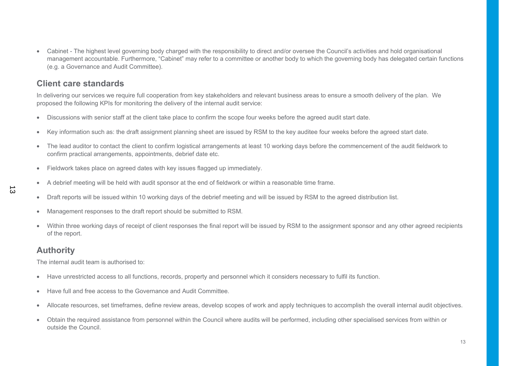• Cabinet - The highest level governing body charged with the responsibility to direct and/or oversee the Council's activities and hold organisational management accountable. Furthermore, "Cabinet" may refer to a committee or another body to which the governing body has delegated certain functions (e.g. a Governance and Audit Committee).

#### **Client care standards**

In delivering our services we require full cooperation from key stakeholders and relevant business areas to ensure a smooth delivery of the plan. We proposed the following KPIs for monitoring the delivery of the internal audit service:

- Discussions with senior staff at the client take place to confirm the scope four weeks before the agreed audit start date.
- Key information such as: the draft assignment planning sheet are issued by RSM to the key auditee four weeks before the agreed start date.
- The lead auditor to contact the client to confirm logistical arrangements at least 10 working days before the commencement of the audit fieldwork to confirm practical arrangements, appointments, debrief date etc.
- Fieldwork takes place on agreed dates with key issues flagged up immediately.
- A debrief meeting will be held with audit sponsor at the end of fieldwork or within a reasonable time frame.
- Draft reports will be issued within 10 working days of the debrief meeting and will be issued by RSM to the agreed distribution list.
- Management responses to the draft report should be submitted to RSM.
- Within three working days of receipt of client responses the final report will be issued by RSM to the assignment sponsor and any other agreed recipients of the report.

#### **Authority**

The internal audit team is authorised to:

- Have unrestricted access to all functions, records, property and personnel which it considers necessary to fulfil its function.
- Have full and free access to the Governance and Audit Committee.
- Allocate resources, set timeframes, define review areas, develop scopes of work and apply techniques to accomplish the overall internal audit objectives.
- Obtain the required assistance from personnel within the Council where audits will be performed, including other specialised services from within or outside the Council.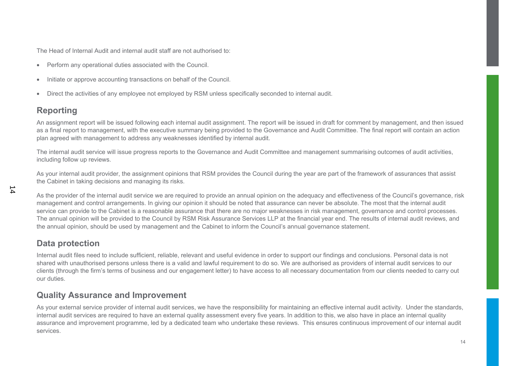The Head of Internal Audit and internal audit staff are not authorised to:

- Perform any operational duties associated with the Council.
- Initiate or approve accounting transactions on behalf of the Council.
- Direct the activities of any employee not employed by RSM unless specifically seconded to internal audit.

#### **Reporting**

An assignment report will be issued following each internal audit assignment. The report will be issued in draft for comment by management, and then issued as a final report to management, with the executive summary being provided to the Governance and Audit Committee. The final report will contain an action plan agreed with management to address any weaknesses identified by internal audit.

The internal audit service will issue progress reports to the Governance and Audit Committee and management summarising outcomes of audit activities, including follow up reviews.

As your internal audit provider, the assignment opinions that RSM provides the Council during the year are part of the framework of assurances that assist the Cabinet in taking decisions and managing its risks.

As the provider of the internal audit service we are required to provide an annual opinion on the adequacy and effectiveness of the Council's governance, risk management and control arrangements. In giving our opinion it should be noted that assurance can never be absolute. The most that the internal audit service can provide to the Cabinet is a reasonable assurance that there are no major weaknesses in risk management, governance and control processes. The annual opinion will be provided to the Council by RSM Risk Assurance Services LLP at the financial year end. The results of internal audit reviews, and the annual opinion, should be used by management and the Cabinet to inform the Council's annual governance statement.

#### **Data protection**

Internal audit files need to include sufficient, reliable, relevant and useful evidence in order to support our findings and conclusions. Personal data is not shared with unauthorised persons unless there is a valid and lawful requirement to do so. We are authorised as providers of internal audit services to our clients (through the firm's terms of business and our engagement letter) to have access to all necessary documentation from our clients needed to carry out our duties.

#### **Quality Assurance and Improvement**

As your external service provider of internal audit services, we have the responsibility for maintaining an effective internal audit activity. Under the standards, internal audit services are required to have an external quality assessment every five years. In addition to this, we also have in place an internal quality assurance and improvement programme, led by a dedicated team who undertake these reviews. This ensures continuous improvement of our internal audit services.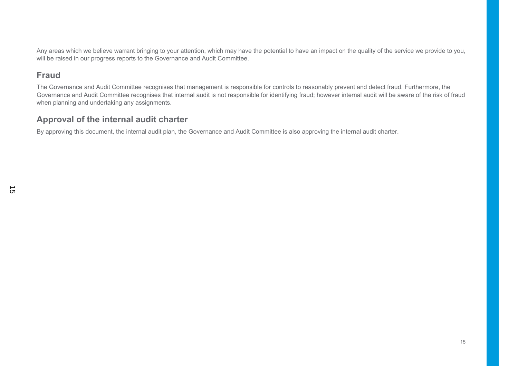Any areas which we believe warrant bringing to your attention, which may have the potential to have an impact on the quality of the service we provide to you, will be raised in our progress reports to the Governance and Audit Committee.

#### **Fraud**

The Governance and Audit Committee recognises that management is responsible for controls to reasonably prevent and detect fraud. Furthermore, the Governance and Audit Committee recognises that internal audit is not responsible for identifying fraud; however internal audit will be aware of the risk of fraud when planning and undertaking any assignments.

#### **Approval of the internal audit charter**

By approving this document, the internal audit plan, the Governance and Audit Committee is also approving the internal audit charter.